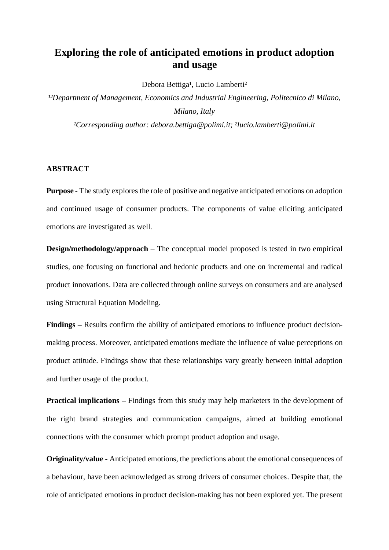# **Exploring the role of anticipated emotions in product adoption and usage**

Debora Bettiga<sup>1</sup>, Lucio Lamberti<sup>2</sup>

<sup>12</sup>Department of Management, Economics and Industrial Engineering, Politecnico di Milano, *Milano, Italy*

<sup>1</sup>Corresponding author: debora.bettiga@polimi.it; <sup>2</sup>lucio.lamberti@polimi.it

#### **ABSTRACT**

**Purpose** - The study explores the role of positive and negative anticipated emotions on adoption and continued usage of consumer products. The components of value eliciting anticipated emotions are investigated as well.

**Design/methodology/approach** – The conceptual model proposed is tested in two empirical studies, one focusing on functional and hedonic products and one on incremental and radical product innovations. Data are collected through online surveys on consumers and are analysed using Structural Equation Modeling.

**Findings –** Results confirm the ability of anticipated emotions to influence product decisionmaking process. Moreover, anticipated emotions mediate the influence of value perceptions on product attitude. Findings show that these relationships vary greatly between initial adoption and further usage of the product.

**Practical implications** – Findings from this study may help marketers in the development of the right brand strategies and communication campaigns, aimed at building emotional connections with the consumer which prompt product adoption and usage.

**Originality/value -** Anticipated emotions, the predictions about the emotional consequences of a behaviour, have been acknowledged as strong drivers of consumer choices. Despite that, the role of anticipated emotions in product decision-making has not been explored yet. The present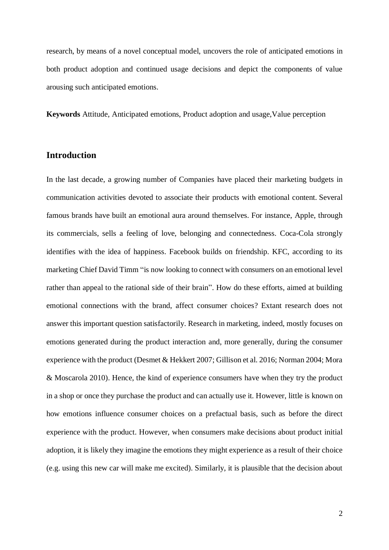research, by means of a novel conceptual model, uncovers the role of anticipated emotions in both product adoption and continued usage decisions and depict the components of value arousing such anticipated emotions.

**Keywords** Attitude, Anticipated emotions, Product adoption and usage,Value perception

## **Introduction**

In the last decade, a growing number of Companies have placed their marketing budgets in communication activities devoted to associate their products with emotional content. Several famous brands have built an emotional aura around themselves. For instance, Apple, through its commercials, sells a feeling of love, belonging and connectedness. Coca-Cola strongly identifies with the idea of happiness. Facebook builds on friendship. KFC, according to its marketing Chief David Timm "is now looking to connect with consumers on an emotional level rather than appeal to the rational side of their brain". How do these efforts, aimed at building emotional connections with the brand, affect consumer choices? Extant research does not answer this important question satisfactorily. Research in marketing, indeed, mostly focuses on emotions generated during the product interaction and, more generally, during the consumer experience with the product (Desmet & Hekkert 2007; Gillison et al. 2016; Norman 2004; Mora & Moscarola 2010). Hence, the kind of experience consumers have when they try the product in a shop or once they purchase the product and can actually use it. However, little is known on how emotions influence consumer choices on a prefactual basis, such as before the direct experience with the product. However, when consumers make decisions about product initial adoption, it is likely they imagine the emotions they might experience as a result of their choice (e.g. using this new car will make me excited). Similarly, it is plausible that the decision about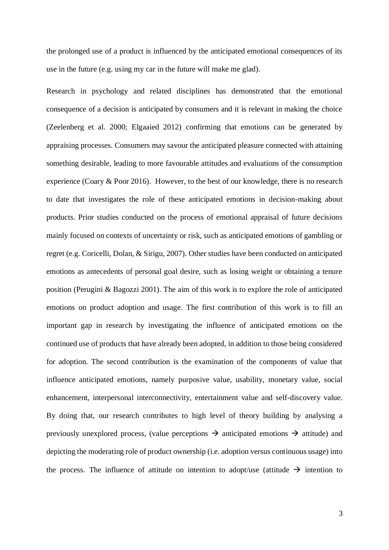the prolonged use of a product is influenced by the anticipated emotional consequences of its use in the future (e.g. using my car in the future will make me glad).

Research in psychology and related disciplines has demonstrated that the emotional consequence of a decision is anticipated by consumers and it is relevant in making the choice (Zeelenberg et al. 2000; Elgaaied 2012) confirming that emotions can be generated by appraising processes. Consumers may savour the anticipated pleasure connected with attaining something desirable, leading to more favourable attitudes and evaluations of the consumption experience (Coary & Poor 2016). However, to the best of our knowledge, there is no research to date that investigates the role of these anticipated emotions in decision-making about products. Prior studies conducted on the process of emotional appraisal of future decisions mainly focused on contexts of uncertainty or risk, such as anticipated emotions of gambling or regret (e.g. Coricelli, Dolan, & Sirigu, 2007). Other studies have been conducted on anticipated emotions as antecedents of personal goal desire, such as losing weight or obtaining a tenure position (Perugini & Bagozzi 2001). The aim of this work is to explore the role of anticipated emotions on product adoption and usage. The first contribution of this work is to fill an important gap in research by investigating the influence of anticipated emotions on the continued use of products that have already been adopted, in addition to those being considered for adoption. The second contribution is the examination of the components of value that influence anticipated emotions, namely purposive value, usability, monetary value, social enhancement, interpersonal interconnectivity, entertainment value and self-discovery value. By doing that, our research contributes to high level of theory building by analysing a previously unexplored process, (value perceptions  $\rightarrow$  anticipated emotions  $\rightarrow$  attitude) and depicting the moderating role of product ownership (i.e. adoption versus continuous usage) into the process. The influence of attitude on intention to adopt/use (attitude  $\rightarrow$  intention to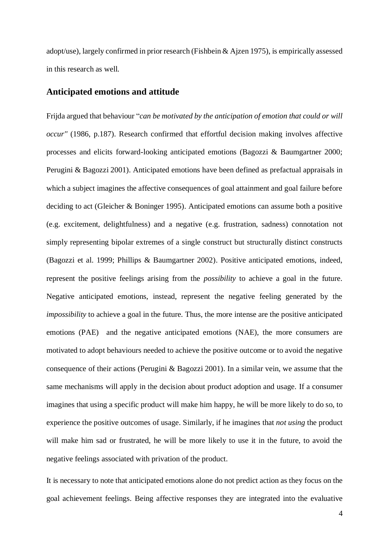adopt/use), largely confirmed in prior research (Fishbein & Ajzen 1975), is empirically assessed in this research as well.

## **Anticipated emotions and attitude**

Frijda argued that behaviour "*can be motivated by the anticipation of emotion that could or will occur''* (1986, p.187). Research confirmed that effortful decision making involves affective processes and elicits forward-looking anticipated emotions (Bagozzi & Baumgartner 2000; Perugini & Bagozzi 2001). Anticipated emotions have been defined as prefactual appraisals in which a subject imagines the affective consequences of goal attainment and goal failure before deciding to act (Gleicher & Boninger 1995). Anticipated emotions can assume both a positive (e.g. excitement, delightfulness) and a negative (e.g. frustration, sadness) connotation not simply representing bipolar extremes of a single construct but structurally distinct constructs (Bagozzi et al. 1999; Phillips & Baumgartner 2002). Positive anticipated emotions, indeed, represent the positive feelings arising from the *possibility* to achieve a goal in the future. Negative anticipated emotions, instead, represent the negative feeling generated by the *impossibility* to achieve a goal in the future. Thus, the more intense are the positive anticipated emotions (PAE) and the negative anticipated emotions (NAE), the more consumers are motivated to adopt behaviours needed to achieve the positive outcome or to avoid the negative consequence of their actions (Perugini & Bagozzi 2001). In a similar vein, we assume that the same mechanisms will apply in the decision about product adoption and usage. If a consumer imagines that using a specific product will make him happy, he will be more likely to do so, to experience the positive outcomes of usage. Similarly, if he imagines that *not using* the product will make him sad or frustrated, he will be more likely to use it in the future, to avoid the negative feelings associated with privation of the product.

It is necessary to note that anticipated emotions alone do not predict action as they focus on the goal achievement feelings. Being affective responses they are integrated into the evaluative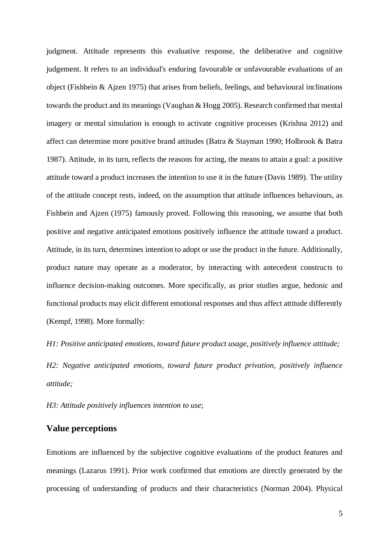judgment. Attitude represents this evaluative response, the deliberative and cognitive judgement. It refers to an individual's enduring favourable or unfavourable evaluations of an object (Fishbein & Ajzen 1975) that arises from beliefs, feelings, and behavioural inclinations towards the product and its meanings (Vaughan & Hogg 2005). Research confirmed that mental imagery or mental simulation is enough to activate cognitive processes (Krishna 2012) and affect can determine more positive brand attitudes (Batra & Stayman 1990; Holbrook & Batra 1987). Attitude, in its turn, reflects the reasons for acting, the means to attain a goal: a positive attitude toward a product increases the intention to use it in the future (Davis 1989). The utility of the attitude concept rests, indeed, on the assumption that attitude influences behaviours, as Fishbein and Ajzen (1975) famously proved. Following this reasoning, we assume that both positive and negative anticipated emotions positively influence the attitude toward a product. Attitude, in its turn, determines intention to adopt or use the product in the future. Additionally, product nature may operate as a moderator, by interacting with antecedent constructs to influence decision-making outcomes. More specifically, as prior studies argue, hedonic and functional products may elicit different emotional responses and thus affect attitude differently (Kempf, 1998). More formally:

*H1: Positive anticipated emotions, toward future product usage, positively influence attitude;*

*H2: Negative anticipated emotions, toward future product privation, positively influence attitude;* 

*H3: Attitude positively influences intention to use*;

## **Value perceptions**

Emotions are influenced by the subjective cognitive evaluations of the product features and meanings (Lazarus 1991). Prior work confirmed that emotions are directly generated by the processing of understanding of products and their characteristics (Norman 2004). Physical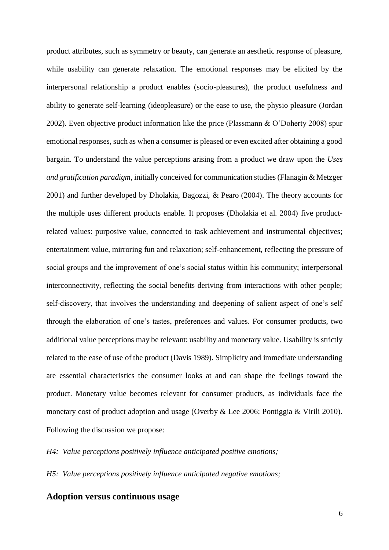product attributes, such as symmetry or beauty, can generate an aesthetic response of pleasure, while usability can generate relaxation. The emotional responses may be elicited by the interpersonal relationship a product enables (socio-pleasures), the product usefulness and ability to generate self-learning (ideopleasure) or the ease to use, the physio pleasure (Jordan 2002). Even objective product information like the price (Plassmann & O'Doherty 2008) spur emotional responses, such as when a consumer is pleased or even excited after obtaining a good bargain. To understand the value perceptions arising from a product we draw upon the *Uses and gratification paradigm*, initially conceived for communication studies (Flanagin & Metzger 2001) and further developed by Dholakia, Bagozzi, & Pearo (2004). The theory accounts for the multiple uses different products enable. It proposes (Dholakia et al. 2004) five productrelated values: purposive value, connected to task achievement and instrumental objectives; entertainment value, mirroring fun and relaxation; self-enhancement, reflecting the pressure of social groups and the improvement of one's social status within his community; interpersonal interconnectivity, reflecting the social benefits deriving from interactions with other people; self-discovery, that involves the understanding and deepening of salient aspect of one's self through the elaboration of one's tastes, preferences and values. For consumer products, two additional value perceptions may be relevant: usability and monetary value. Usability is strictly related to the ease of use of the product (Davis 1989). Simplicity and immediate understanding are essential characteristics the consumer looks at and can shape the feelings toward the product. Monetary value becomes relevant for consumer products, as individuals face the monetary cost of product adoption and usage (Overby & Lee 2006; Pontiggia & Virili 2010). Following the discussion we propose:

*H4: Value perceptions positively influence anticipated positive emotions;*

*H5: Value perceptions positively influence anticipated negative emotions;* 

## **Adoption versus continuous usage**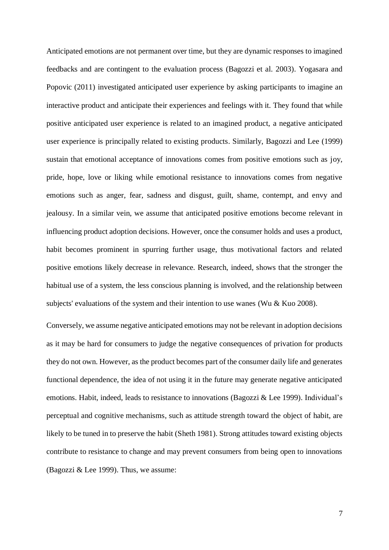Anticipated emotions are not permanent over time, but they are dynamic responses to imagined feedbacks and are contingent to the evaluation process (Bagozzi et al. 2003). Yogasara and Popovic (2011) investigated anticipated user experience by asking participants to imagine an interactive product and anticipate their experiences and feelings with it. They found that while positive anticipated user experience is related to an imagined product, a negative anticipated user experience is principally related to existing products. Similarly, Bagozzi and Lee (1999) sustain that emotional acceptance of innovations comes from positive emotions such as joy, pride, hope, love or liking while emotional resistance to innovations comes from negative emotions such as anger, fear, sadness and disgust, guilt, shame, contempt, and envy and jealousy. In a similar vein, we assume that anticipated positive emotions become relevant in influencing product adoption decisions. However, once the consumer holds and uses a product, habit becomes prominent in spurring further usage, thus motivational factors and related positive emotions likely decrease in relevance. Research, indeed, shows that the stronger the habitual use of a system, the less conscious planning is involved, and the relationship between subjects' evaluations of the system and their intention to use wanes (Wu & Kuo 2008).

Conversely, we assume negative anticipated emotions may not be relevant in adoption decisions as it may be hard for consumers to judge the negative consequences of privation for products they do not own. However, as the product becomes part of the consumer daily life and generates functional dependence, the idea of not using it in the future may generate negative anticipated emotions. Habit, indeed, leads to resistance to innovations (Bagozzi & Lee 1999). Individual's perceptual and cognitive mechanisms, such as attitude strength toward the object of habit, are likely to be tuned in to preserve the habit (Sheth 1981). Strong attitudes toward existing objects contribute to resistance to change and may prevent consumers from being open to innovations (Bagozzi & Lee 1999). Thus, we assume: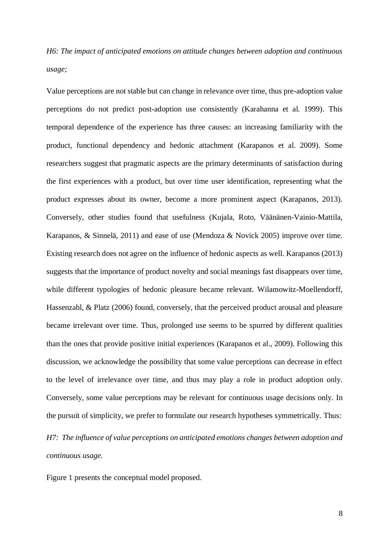*H6: The impact of anticipated emotions on attitude changes between adoption and continuous usage;*

Value perceptions are not stable but can change in relevance over time, thus pre-adoption value perceptions do not predict post-adoption use consistently (Karahanna et al. 1999). This temporal dependence of the experience has three causes: an increasing familiarity with the product, functional dependency and hedonic attachment (Karapanos et al. 2009). Some researchers suggest that pragmatic aspects are the primary determinants of satisfaction during the first experiences with a product, but over time user identification, representing what the product expresses about its owner, become a more prominent aspect (Karapanos, 2013). Conversely, other studies found that usefulness (Kujala, Roto, Väänänen-Vainio-Mattila, Karapanos, & Sinnelä, 2011) and ease of use (Mendoza & Novick 2005) improve over time. Existing research does not agree on the influence of hedonic aspects as well. Karapanos (2013) suggests that the importance of product novelty and social meanings fast disappears over time, while different typologies of hedonic pleasure became relevant. Wilamowitz-Moellendorff, Hassenzahl, & Platz (2006) found, conversely, that the perceived product arousal and pleasure became irrelevant over time. Thus, prolonged use seems to be spurred by different qualities than the ones that provide positive initial experiences (Karapanos et al., 2009). Following this discussion, we acknowledge the possibility that some value perceptions can decrease in effect to the level of irrelevance over time, and thus may play a role in product adoption only. Conversely, some value perceptions may be relevant for continuous usage decisions only. In the pursuit of simplicity, we prefer to formulate our research hypotheses symmetrically. Thus:

*H7: The influence of value perceptions on anticipated emotions changes between adoption and continuous usage.*

Figure 1 presents the conceptual model proposed*.*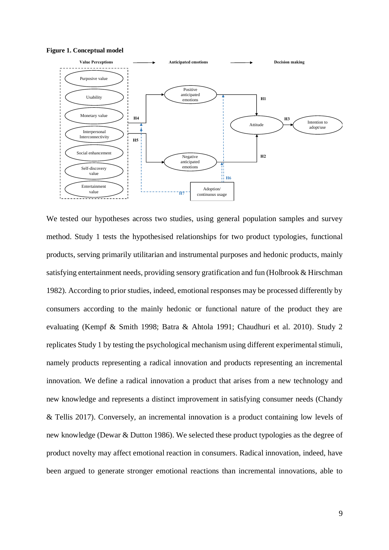



We tested our hypotheses across two studies, using general population samples and survey method. Study 1 tests the hypothesised relationships for two product typologies, functional products, serving primarily utilitarian and instrumental purposes and hedonic products, mainly satisfying entertainment needs, providing sensory gratification and fun (Holbrook & Hirschman 1982). According to prior studies, indeed, emotional responses may be processed differently by consumers according to the mainly hedonic or functional nature of the product they are evaluating (Kempf & Smith 1998; Batra & Ahtola 1991; Chaudhuri et al. 2010). Study 2 replicates Study 1 by testing the psychological mechanism using different experimental stimuli, namely products representing a radical innovation and products representing an incremental innovation. We define a radical innovation a product that arises from a new technology and new knowledge and represents a distinct improvement in satisfying consumer needs (Chandy & Tellis 2017). Conversely, an incremental innovation is a product containing low levels of new knowledge (Dewar & Dutton 1986). We selected these product typologies as the degree of product novelty may affect emotional reaction in consumers. Radical innovation, indeed, have been argued to generate stronger emotional reactions than incremental innovations, able to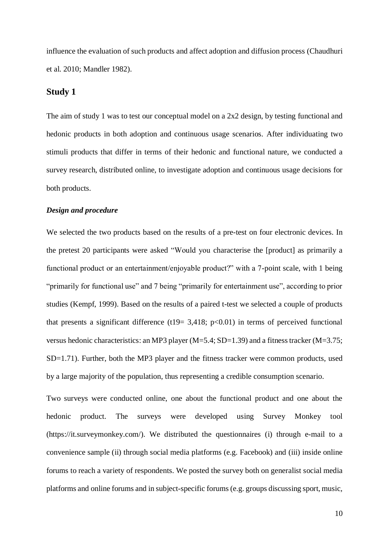influence the evaluation of such products and affect adoption and diffusion process (Chaudhuri et al. 2010; Mandler 1982).

## **Study 1**

The aim of study 1 was to test our conceptual model on a 2x2 design, by testing functional and hedonic products in both adoption and continuous usage scenarios. After individuating two stimuli products that differ in terms of their hedonic and functional nature, we conducted a survey research, distributed online, to investigate adoption and continuous usage decisions for both products.

#### *Design and procedure*

We selected the two products based on the results of a pre-test on four electronic devices. In the pretest 20 participants were asked "Would you characterise the [product] as primarily a functional product or an entertainment/enjoyable product?" with a 7-point scale, with 1 being "primarily for functional use" and 7 being "primarily for entertainment use", according to prior studies (Kempf, 1999). Based on the results of a paired t-test we selected a couple of products that presents a significant difference (t19= 3,418; p<0.01) in terms of perceived functional versus hedonic characteristics: an MP3 player (M=5.4; SD=1.39) and a fitness tracker (M=3.75; SD=1.71). Further, both the MP3 player and the fitness tracker were common products, used by a large majority of the population, thus representing a credible consumption scenario.

Two surveys were conducted online, one about the functional product and one about the hedonic product. The surveys were developed using Survey Monkey tool (https://it.surveymonkey.com/). We distributed the questionnaires (i) through e-mail to a convenience sample (ii) through social media platforms (e.g. Facebook) and (iii) inside online forums to reach a variety of respondents. We posted the survey both on generalist social media platforms and online forums and in subject-specific forums (e.g. groups discussing sport, music,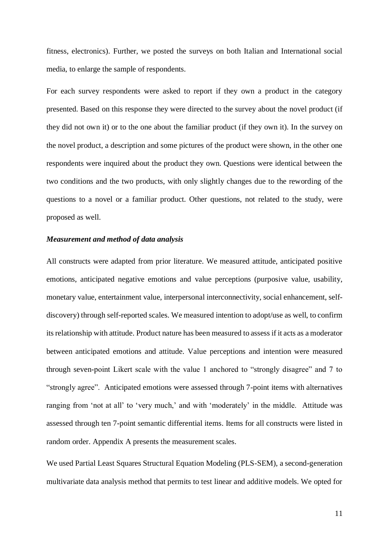fitness, electronics). Further, we posted the surveys on both Italian and International social media, to enlarge the sample of respondents.

For each survey respondents were asked to report if they own a product in the category presented. Based on this response they were directed to the survey about the novel product (if they did not own it) or to the one about the familiar product (if they own it). In the survey on the novel product, a description and some pictures of the product were shown, in the other one respondents were inquired about the product they own. Questions were identical between the two conditions and the two products, with only slightly changes due to the rewording of the questions to a novel or a familiar product. Other questions, not related to the study, were proposed as well.

### *Measurement and method of data analysis*

All constructs were adapted from prior literature. We measured attitude, anticipated positive emotions, anticipated negative emotions and value perceptions (purposive value, usability, monetary value, entertainment value, interpersonal interconnectivity, social enhancement, selfdiscovery) through self-reported scales. We measured intention to adopt/use as well, to confirm its relationship with attitude. Product nature has been measured to assess if it acts as a moderator between anticipated emotions and attitude. Value perceptions and intention were measured through seven-point Likert scale with the value 1 anchored to "strongly disagree" and 7 to "strongly agree". Anticipated emotions were assessed through 7-point items with alternatives ranging from 'not at all' to 'very much,' and with 'moderately' in the middle. Attitude was assessed through ten 7-point semantic differential items. Items for all constructs were listed in random order. Appendix A presents the measurement scales.

We used Partial Least Squares Structural Equation Modeling (PLS-SEM), a second-generation multivariate data analysis method that permits to test linear and additive models. We opted for

11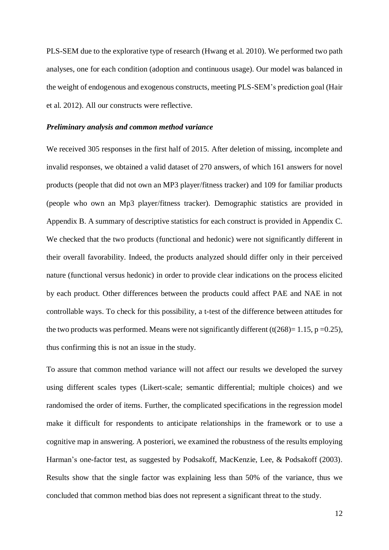PLS-SEM due to the explorative type of research (Hwang et al. 2010). We performed two path analyses, one for each condition (adoption and continuous usage). Our model was balanced in the weight of endogenous and exogenous constructs, meeting PLS-SEM's prediction goal (Hair et al. 2012). All our constructs were reflective.

#### *Preliminary analysis and common method variance*

We received 305 responses in the first half of 2015. After deletion of missing, incomplete and invalid responses, we obtained a valid dataset of 270 answers, of which 161 answers for novel products (people that did not own an MP3 player/fitness tracker) and 109 for familiar products (people who own an Mp3 player/fitness tracker). Demographic statistics are provided in Appendix B. A summary of descriptive statistics for each construct is provided in Appendix C. We checked that the two products (functional and hedonic) were not significantly different in their overall favorability. Indeed, the products analyzed should differ only in their perceived nature (functional versus hedonic) in order to provide clear indications on the process elicited by each product. Other differences between the products could affect PAE and NAE in not controllable ways. To check for this possibility, a t-test of the difference between attitudes for the two products was performed. Means were not significantly different (t(268)= 1.15, p =0.25), thus confirming this is not an issue in the study.

To assure that common method variance will not affect our results we developed the survey using different scales types (Likert-scale; semantic differential; multiple choices) and we randomised the order of items. Further, the complicated specifications in the regression model make it difficult for respondents to anticipate relationships in the framework or to use a cognitive map in answering. A posteriori, we examined the robustness of the results employing Harman's one-factor test, as suggested by Podsakoff, MacKenzie, Lee, & Podsakoff (2003). Results show that the single factor was explaining less than 50% of the variance, thus we concluded that common method bias does not represent a significant threat to the study.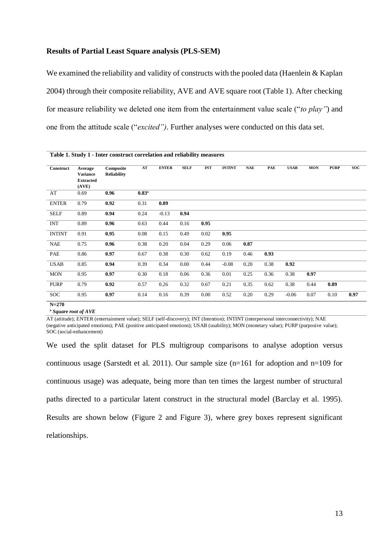#### **Results of Partial Least Square analysis (PLS-SEM)**

We examined the reliability and validity of constructs with the pooled data (Haenlein & Kaplan 2004) through their composite reliability, AVE and AVE square root (Table 1). After checking for measure reliability we deleted one item from the entertainment value scale ("*to play"*) and one from the attitude scale ("*excited")*. Further analyses were conducted on this data set.

|               | Table 1. Study 1 - Inter construct correlation and reliability measures |                                 |                     |              |             |            |               |            |      |             |            |             |            |
|---------------|-------------------------------------------------------------------------|---------------------------------|---------------------|--------------|-------------|------------|---------------|------------|------|-------------|------------|-------------|------------|
| Construct     | Average<br><b>Variance</b><br><b>Extracted</b><br>(AVE)                 | Composite<br><b>Reliability</b> | AT                  | <b>ENTER</b> | <b>SELF</b> | <b>INT</b> | <b>INTINT</b> | <b>NAE</b> | PAE  | <b>USAB</b> | <b>MON</b> | <b>PURP</b> | <b>SOC</b> |
| AT            | 0.69                                                                    | 0.96                            | $0.83$ <sup>a</sup> |              |             |            |               |            |      |             |            |             |            |
| <b>ENTER</b>  | 0.79                                                                    | 0.92                            | 0.31                | 0.89         |             |            |               |            |      |             |            |             |            |
| <b>SELF</b>   | 0.89                                                                    | 0.94                            | 0.24                | $-0.13$      | 0.94        |            |               |            |      |             |            |             |            |
| <b>INT</b>    | 0.89                                                                    | 0.96                            | 0.63                | 0.44         | 0.16        | 0.95       |               |            |      |             |            |             |            |
| <b>INTINT</b> | 0.91                                                                    | 0.95                            | 0.08                | 0.15         | 0.49        | 0.02       | 0.95          |            |      |             |            |             |            |
| <b>NAE</b>    | 0.75                                                                    | 0.96                            | 0.38                | 0.20         | 0.04        | 0.29       | 0.06          | 0.87       |      |             |            |             |            |
| PAE           | 0.86                                                                    | 0.97                            | 0.67                | 0.38         | 0.30        | 0.62       | 0.19          | 0.46       | 0.93 |             |            |             |            |
| <b>USAB</b>   | 0.85                                                                    | 0.94                            | 0.39                | 0.34         | 0.00        | 0.44       | $-0.08$       | 0.20       | 0.38 | 0.92        |            |             |            |
| <b>MON</b>    | 0.95                                                                    | 0.97                            | 0.30                | 0.18         | 0.06        | 0.36       | 0.01          | 0.25       | 0.36 | 0.38        | 0.97       |             |            |
| <b>PURP</b>   | 0.79                                                                    | 0.92                            | 0.57                | 0.26         | 0.32        | 0.67       | 0.21          | 0.35       | 0.62 | 0.38        | 0.44       | 0.89        |            |
| <b>SOC</b>    | 0.95                                                                    | 0.97                            | 0.14                | 0.16         | 0.39        | 0.00       | 0.52          | 0.20       | 0.29 | $-0.06$     | 0.07       | 0.10        | 0.97       |
| $N = 270$     |                                                                         |                                 |                     |              |             |            |               |            |      |             |            |             |            |

**ª** *Square root of AVE* 

AT (attitude); ENTER (entertainment value); SELF (self-discovery); INT (Intention); INTINT (interpersonal interconnectivity); NAE (negative anticipated emotions); PAE (positive anticipated emotions); USAB (usability); MON (monetary value); PURP (purposive value); SOC (social-enhancement)

We used the split dataset for PLS multigroup comparisons to analyse adoption versus continuous usage (Sarstedt et al. 2011). Our sample size (n=161 for adoption and n=109 for continuous usage) was adequate, being more than ten times the largest number of structural paths directed to a particular latent construct in the structural model (Barclay et al. 1995). Results are shown below (Figure 2 and Figure 3), where grey boxes represent significant relationships.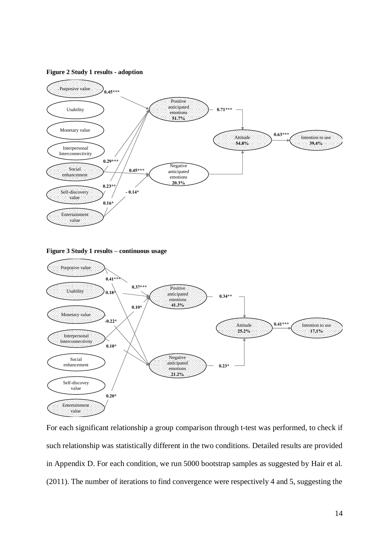#### **Figure 2 Study 1 results - adoption**



**Figure 3 Study 1 results – continuous usage**



For each significant relationship a group comparison through t-test was performed, to check if such relationship was statistically different in the two conditions. Detailed results are provided in Appendix D. For each condition, we run 5000 bootstrap samples as suggested by Hair et al. (2011). The number of iterations to find convergence were respectively 4 and 5, suggesting the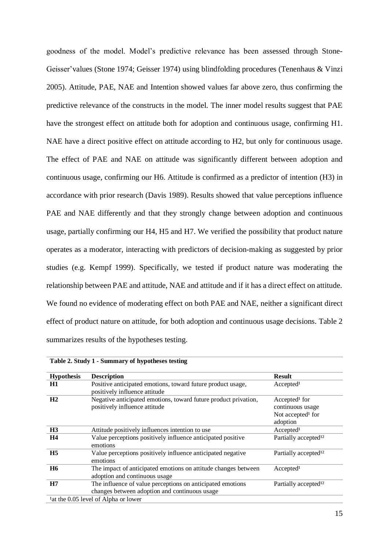goodness of the model. Model's predictive relevance has been assessed through Stone-Geisser'values (Stone 1974; Geisser 1974) using blindfolding procedures (Tenenhaus & Vinzi 2005). Attitude, PAE, NAE and Intention showed values far above zero, thus confirming the predictive relevance of the constructs in the model. The inner model results suggest that PAE have the strongest effect on attitude both for adoption and continuous usage, confirming H1. NAE have a direct positive effect on attitude according to H2, but only for continuous usage. The effect of PAE and NAE on attitude was significantly different between adoption and continuous usage, confirming our H6. Attitude is confirmed as a predictor of intention (H3) in accordance with prior research (Davis 1989). Results showed that value perceptions influence PAE and NAE differently and that they strongly change between adoption and continuous usage, partially confirming our H4, H5 and H7. We verified the possibility that product nature operates as a moderator, interacting with predictors of decision-making as suggested by prior studies (e.g. Kempf 1999). Specifically, we tested if product nature was moderating the relationship between PAE and attitude, NAE and attitude and if it has a direct effect on attitude. We found no evidence of moderating effect on both PAE and NAE, neither a significant direct effect of product nature on attitude, for both adoption and continuous usage decisions. Table 2 summarizes results of the hypotheses testing.

|                   | Table 2. Bruay 1 - Bunning y or hypotheses results                                                          |                                                                                            |
|-------------------|-------------------------------------------------------------------------------------------------------------|--------------------------------------------------------------------------------------------|
| <b>Hypothesis</b> | <b>Description</b>                                                                                          | <b>Result</b>                                                                              |
| H1                | Positive anticipated emotions, toward future product usage,<br>positively influence attitude                | Accepted <sup>1</sup>                                                                      |
| H2                | Negative anticipated emotions, toward future product privation,<br>positively influence attitude            | Accepted <sup>1</sup> for<br>continuous usage<br>Not accepted <sup>1</sup> for<br>adoption |
| H3                | Attitude positively influences intention to use                                                             | Accepted <sup>1</sup>                                                                      |
| H <sub>4</sub>    | Value perceptions positively influence anticipated positive<br>emotions                                     | Partially accepted <sup>12</sup>                                                           |
| H <sub>5</sub>    | Value perceptions positively influence anticipated negative<br>emotions                                     | Partially accepted <sup>12</sup>                                                           |
| <b>H6</b>         | The impact of anticipated emotions on attitude changes between<br>adoption and continuous usage             | Accepted <sup>1</sup>                                                                      |
| H7                | The influence of value perceptions on anticipated emotions<br>changes between adoption and continuous usage | Partially accepted <sup>12</sup>                                                           |
|                   | <sup>1</sup> at the 0.05 level of Alpha or lower                                                            |                                                                                            |

**Table 2. Study 1 - Summary of hypotheses testing**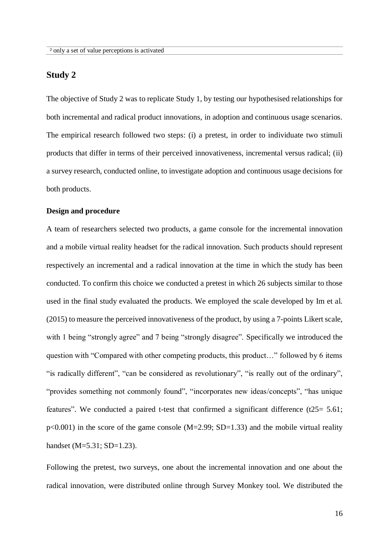## **Study 2**

The objective of Study 2 was to replicate Study 1, by testing our hypothesised relationships for both incremental and radical product innovations, in adoption and continuous usage scenarios. The empirical research followed two steps: (i) a pretest, in order to individuate two stimuli products that differ in terms of their perceived innovativeness, incremental versus radical; (ii) a survey research, conducted online, to investigate adoption and continuous usage decisions for both products.

#### **Design and procedure**

A team of researchers selected two products, a game console for the incremental innovation and a mobile virtual reality headset for the radical innovation. Such products should represent respectively an incremental and a radical innovation at the time in which the study has been conducted. To confirm this choice we conducted a pretest in which 26 subjects similar to those used in the final study evaluated the products. We employed the scale developed by Im et al. (2015) to measure the perceived innovativeness of the product, by using a 7-points Likert scale, with 1 being "strongly agree" and 7 being "strongly disagree". Specifically we introduced the question with "Compared with other competing products, this product…" followed by 6 items "is radically different", "can be considered as revolutionary", "is really out of the ordinary", "provides something not commonly found", "incorporates new ideas/concepts", "has unique features". We conducted a paired t-test that confirmed a significant difference  $(125=5.61;$  $p<0.001$ ) in the score of the game console (M=2.99; SD=1.33) and the mobile virtual reality handset (M=5.31; SD=1.23).

Following the pretest, two surveys, one about the incremental innovation and one about the radical innovation, were distributed online through Survey Monkey tool. We distributed the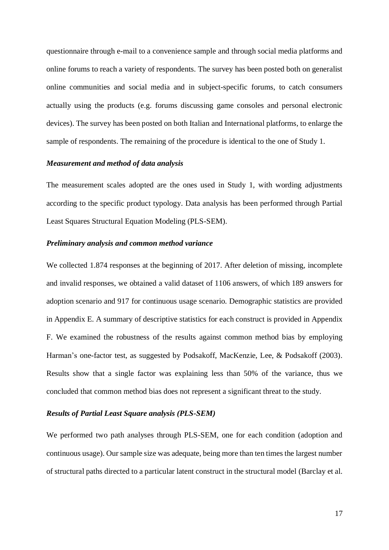questionnaire through e-mail to a convenience sample and through social media platforms and online forums to reach a variety of respondents. The survey has been posted both on generalist online communities and social media and in subject-specific forums, to catch consumers actually using the products (e.g. forums discussing game consoles and personal electronic devices). The survey has been posted on both Italian and International platforms, to enlarge the sample of respondents. The remaining of the procedure is identical to the one of Study 1.

#### *Measurement and method of data analysis*

The measurement scales adopted are the ones used in Study 1, with wording adjustments according to the specific product typology. Data analysis has been performed through Partial Least Squares Structural Equation Modeling (PLS-SEM).

#### *Preliminary analysis and common method variance*

We collected 1.874 responses at the beginning of 2017. After deletion of missing, incomplete and invalid responses, we obtained a valid dataset of 1106 answers, of which 189 answers for adoption scenario and 917 for continuous usage scenario. Demographic statistics are provided in Appendix E. A summary of descriptive statistics for each construct is provided in Appendix F. We examined the robustness of the results against common method bias by employing Harman's one-factor test, as suggested by Podsakoff, MacKenzie, Lee, & Podsakoff (2003). Results show that a single factor was explaining less than 50% of the variance, thus we concluded that common method bias does not represent a significant threat to the study.

#### *Results of Partial Least Square analysis (PLS-SEM)*

We performed two path analyses through PLS-SEM, one for each condition (adoption and continuous usage). Our sample size was adequate, being more than ten times the largest number of structural paths directed to a particular latent construct in the structural model (Barclay et al.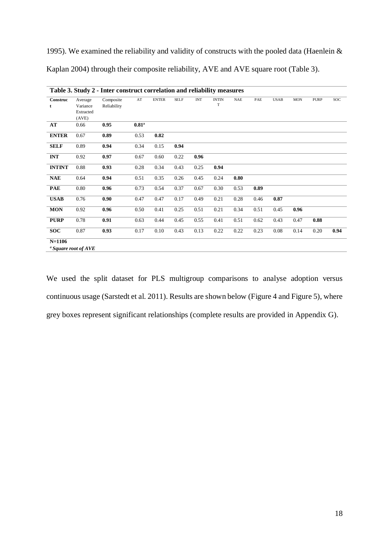1995). We examined the reliability and validity of constructs with the pooled data (Haenlein & Kaplan 2004) through their composite reliability, AVE and AVE square root (Table 3).

| Construc      | Average   | Composite   | $\mathbf{A}\mathbf{T}$ | <b>ENTER</b> | <b>SELF</b> | <b>INT</b> | <b>INTIN</b> | <b>NAE</b> | PAE  | <b>USAB</b> | <b>MON</b> | <b>PURP</b> | <b>SOC</b> |
|---------------|-----------|-------------|------------------------|--------------|-------------|------------|--------------|------------|------|-------------|------------|-------------|------------|
| t             | Variance  | Reliability |                        |              |             |            | T            |            |      |             |            |             |            |
|               | Extracted |             |                        |              |             |            |              |            |      |             |            |             |            |
|               | (AVE)     |             |                        |              |             |            |              |            |      |             |            |             |            |
| AT            | 0.66      | 0.95        | $0.81$ <sup>a</sup>    |              |             |            |              |            |      |             |            |             |            |
| <b>ENTER</b>  | 0.67      | 0.89        | 0.53                   | 0.82         |             |            |              |            |      |             |            |             |            |
| <b>SELF</b>   | 0.89      | 0.94        | 0.34                   | 0.15         | 0.94        |            |              |            |      |             |            |             |            |
| <b>INT</b>    | 0.92      | 0.97        | 0.67                   | 0.60         | 0.22        | 0.96       |              |            |      |             |            |             |            |
| <b>INTINT</b> | 0.88      | 0.93        | 0.28                   | 0.34         | 0.43        | 0.25       | 0.94         |            |      |             |            |             |            |
| <b>NAE</b>    | 0.64      | 0.94        | 0.51                   | 0.35         | 0.26        | 0.45       | 0.24         | 0.80       |      |             |            |             |            |
| <b>PAE</b>    | 0.80      | 0.96        | 0.73                   | 0.54         | 0.37        | 0.67       | 0.30         | 0.53       | 0.89 |             |            |             |            |
| <b>USAB</b>   | 0.76      | 0.90        | 0.47                   | 0.47         | 0.17        | 0.49       | 0.21         | 0.28       | 0.46 | 0.87        |            |             |            |
| <b>MON</b>    | 0.92      | 0.96        | 0.50                   | 0.41         | 0.25        | 0.51       | 0.21         | 0.34       | 0.51 | 0.45        | 0.96       |             |            |
| <b>PURP</b>   | 0.78      | 0.91        | 0.63                   | 0.44         | 0.45        | 0.55       | 0.41         | 0.51       | 0.62 | 0.43        | 0.47       | 0.88        |            |
| <b>SOC</b>    | 0.87      | 0.93        | 0.17                   | 0.10         | 0.43        | 0.13       | 0.22         | 0.22       | 0.23 | 0.08        | 0.14       | 0.20        | 0.94       |

We used the split dataset for PLS multigroup comparisons to analyse adoption versus continuous usage (Sarstedt et al. 2011). Results are shown below (Figure 4 and Figure 5), where grey boxes represent significant relationships (complete results are provided in Appendix G).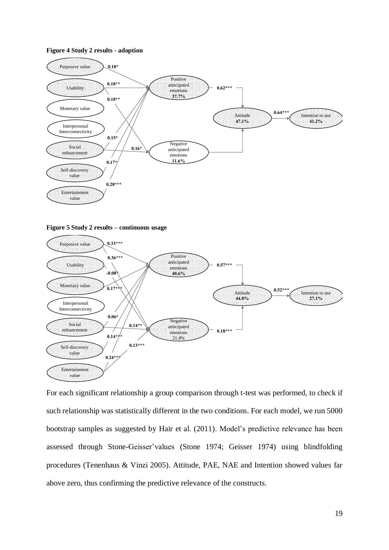#### **Figure 4 Study 2 results - adoption**



**Figure 5 Study 2 results – continuous usage**



For each significant relationship a group comparison through t-test was performed, to check if such relationship was statistically different in the two conditions. For each model, we run 5000 bootstrap samples as suggested by Hair et al. (2011). Model's predictive relevance has been assessed through Stone-Geisser'values (Stone 1974; Geisser 1974) using blindfolding procedures (Tenenhaus & Vinzi 2005). Attitude, PAE, NAE and Intention showed values far above zero, thus confirming the predictive relevance of the constructs.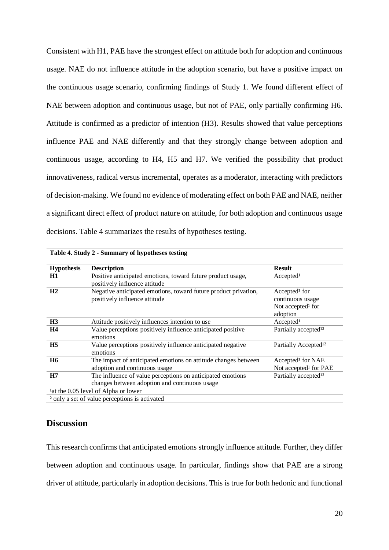Consistent with H1, PAE have the strongest effect on attitude both for adoption and continuous usage. NAE do not influence attitude in the adoption scenario, but have a positive impact on the continuous usage scenario, confirming findings of Study 1. We found different effect of NAE between adoption and continuous usage, but not of PAE, only partially confirming H6. Attitude is confirmed as a predictor of intention (H3). Results showed that value perceptions influence PAE and NAE differently and that they strongly change between adoption and continuous usage, according to H4, H5 and H7. We verified the possibility that product innovativeness, radical versus incremental, operates as a moderator, interacting with predictors of decision-making. We found no evidence of moderating effect on both PAE and NAE, neither a significant direct effect of product nature on attitude, for both adoption and continuous usage decisions. Table 4 summarizes the results of hypotheses testing.

| <b>Hypothesis</b> | <b>Description</b>                                                                                          | <b>Result</b>                                                                              |
|-------------------|-------------------------------------------------------------------------------------------------------------|--------------------------------------------------------------------------------------------|
| H1                | Positive anticipated emotions, toward future product usage,<br>positively influence attitude                | Accepted <sup>1</sup>                                                                      |
| H <sub>2</sub>    | Negative anticipated emotions, toward future product privation,<br>positively influence attitude            | Accepted <sup>1</sup> for<br>continuous usage<br>Not accepted <sup>1</sup> for<br>adoption |
| H <sub>3</sub>    | Attitude positively influences intention to use                                                             | Accepted <sup>1</sup>                                                                      |
| <b>H4</b>         | Value perceptions positively influence anticipated positive<br>emotions                                     | Partially accepted <sup>12</sup>                                                           |
| H <sub>5</sub>    | Value perceptions positively influence anticipated negative<br>emotions                                     | Partially Accepted <sup>12</sup>                                                           |
| <b>H6</b>         | The impact of anticipated emotions on attitude changes between<br>adoption and continuous usage             | Accepted <sup>1</sup> for NAE<br>Not accepted <sup>1</sup> for PAE                         |
| H7                | The influence of value perceptions on anticipated emotions<br>changes between adoption and continuous usage | Partially accepted <sup>12</sup>                                                           |
|                   | <sup>1</sup> at the 0.05 level of Alpha or lower                                                            |                                                                                            |
|                   | <sup>2</sup> only a set of value perceptions is activated                                                   |                                                                                            |

**Table 4. Study 2 - Summary of hypotheses testing**

### **Discussion**

This research confirms that anticipated emotions strongly influence attitude. Further, they differ between adoption and continuous usage. In particular, findings show that PAE are a strong driver of attitude, particularly in adoption decisions. This is true for both hedonic and functional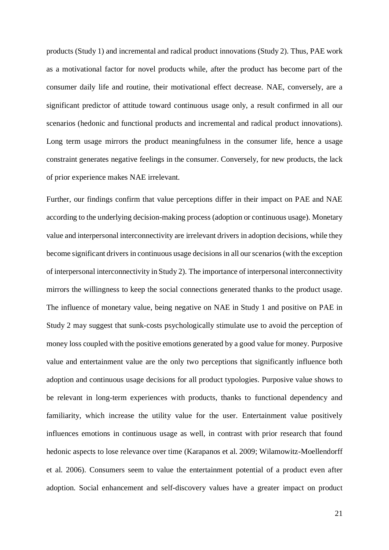products (Study 1) and incremental and radical product innovations (Study 2). Thus, PAE work as a motivational factor for novel products while, after the product has become part of the consumer daily life and routine, their motivational effect decrease. NAE, conversely, are a significant predictor of attitude toward continuous usage only, a result confirmed in all our scenarios (hedonic and functional products and incremental and radical product innovations). Long term usage mirrors the product meaningfulness in the consumer life, hence a usage constraint generates negative feelings in the consumer. Conversely, for new products, the lack of prior experience makes NAE irrelevant.

Further, our findings confirm that value perceptions differ in their impact on PAE and NAE according to the underlying decision-making process (adoption or continuous usage). Monetary value and interpersonal interconnectivity are irrelevant drivers in adoption decisions, while they become significant drivers in continuous usage decisions in all our scenarios (with the exception of interpersonal interconnectivity in Study 2). The importance of interpersonal interconnectivity mirrors the willingness to keep the social connections generated thanks to the product usage. The influence of monetary value, being negative on NAE in Study 1 and positive on PAE in Study 2 may suggest that sunk-costs psychologically stimulate use to avoid the perception of money loss coupled with the positive emotions generated by a good value for money. Purposive value and entertainment value are the only two perceptions that significantly influence both adoption and continuous usage decisions for all product typologies. Purposive value shows to be relevant in long-term experiences with products, thanks to functional dependency and familiarity, which increase the utility value for the user. Entertainment value positively influences emotions in continuous usage as well, in contrast with prior research that found hedonic aspects to lose relevance over time (Karapanos et al. 2009; Wilamowitz-Moellendorff et al. 2006). Consumers seem to value the entertainment potential of a product even after adoption. Social enhancement and self-discovery values have a greater impact on product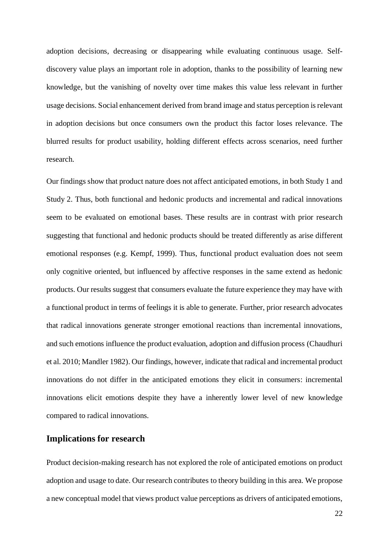adoption decisions, decreasing or disappearing while evaluating continuous usage. Selfdiscovery value plays an important role in adoption, thanks to the possibility of learning new knowledge, but the vanishing of novelty over time makes this value less relevant in further usage decisions. Social enhancement derived from brand image and status perception is relevant in adoption decisions but once consumers own the product this factor loses relevance. The blurred results for product usability, holding different effects across scenarios, need further research.

Our findings show that product nature does not affect anticipated emotions, in both Study 1 and Study 2. Thus, both functional and hedonic products and incremental and radical innovations seem to be evaluated on emotional bases. These results are in contrast with prior research suggesting that functional and hedonic products should be treated differently as arise different emotional responses (e.g. Kempf, 1999). Thus, functional product evaluation does not seem only cognitive oriented, but influenced by affective responses in the same extend as hedonic products. Our results suggest that consumers evaluate the future experience they may have with a functional product in terms of feelings it is able to generate. Further, prior research advocates that radical innovations generate stronger emotional reactions than incremental innovations, and such emotions influence the product evaluation, adoption and diffusion process (Chaudhuri et al. 2010; Mandler 1982). Our findings, however, indicate that radical and incremental product innovations do not differ in the anticipated emotions they elicit in consumers: incremental innovations elicit emotions despite they have a inherently lower level of new knowledge compared to radical innovations.

## **Implications for research**

Product decision-making research has not explored the role of anticipated emotions on product adoption and usage to date. Our research contributes to theory building in this area. We propose a new conceptual model that views product value perceptions as drivers of anticipated emotions,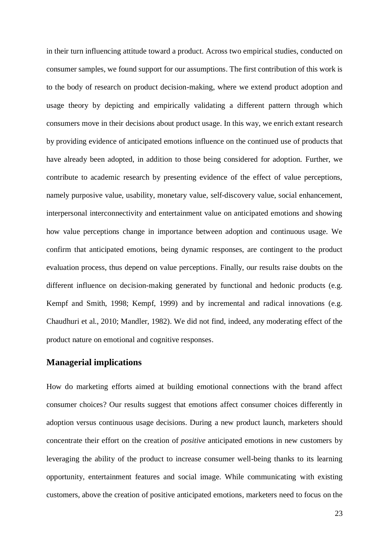in their turn influencing attitude toward a product. Across two empirical studies, conducted on consumer samples, we found support for our assumptions. The first contribution of this work is to the body of research on product decision-making, where we extend product adoption and usage theory by depicting and empirically validating a different pattern through which consumers move in their decisions about product usage. In this way, we enrich extant research by providing evidence of anticipated emotions influence on the continued use of products that have already been adopted, in addition to those being considered for adoption. Further, we contribute to academic research by presenting evidence of the effect of value perceptions, namely purposive value, usability, monetary value, self-discovery value, social enhancement, interpersonal interconnectivity and entertainment value on anticipated emotions and showing how value perceptions change in importance between adoption and continuous usage. We confirm that anticipated emotions, being dynamic responses, are contingent to the product evaluation process, thus depend on value perceptions. Finally, our results raise doubts on the different influence on decision-making generated by functional and hedonic products (e.g. Kempf and Smith, 1998; Kempf, 1999) and by incremental and radical innovations (e.g. Chaudhuri et al., 2010; Mandler, 1982). We did not find, indeed, any moderating effect of the product nature on emotional and cognitive responses.

## **Managerial implications**

How do marketing efforts aimed at building emotional connections with the brand affect consumer choices? Our results suggest that emotions affect consumer choices differently in adoption versus continuous usage decisions. During a new product launch, marketers should concentrate their effort on the creation of *positive* anticipated emotions in new customers by leveraging the ability of the product to increase consumer well-being thanks to its learning opportunity, entertainment features and social image. While communicating with existing customers, above the creation of positive anticipated emotions, marketers need to focus on the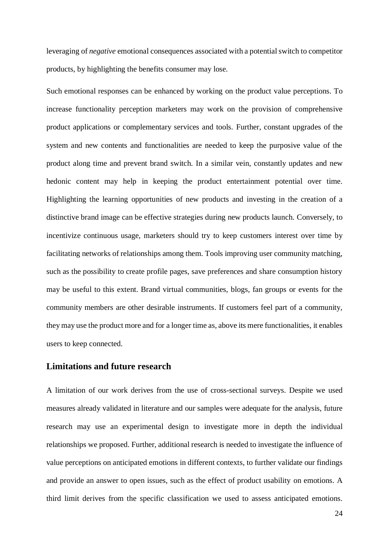leveraging of *negative* emotional consequences associated with a potential switch to competitor products, by highlighting the benefits consumer may lose.

Such emotional responses can be enhanced by working on the product value perceptions. To increase functionality perception marketers may work on the provision of comprehensive product applications or complementary services and tools. Further, constant upgrades of the system and new contents and functionalities are needed to keep the purposive value of the product along time and prevent brand switch. In a similar vein, constantly updates and new hedonic content may help in keeping the product entertainment potential over time. Highlighting the learning opportunities of new products and investing in the creation of a distinctive brand image can be effective strategies during new products launch. Conversely, to incentivize continuous usage, marketers should try to keep customers interest over time by facilitating networks of relationships among them. Tools improving user community matching, such as the possibility to create profile pages, save preferences and share consumption history may be useful to this extent. Brand virtual communities, blogs, fan groups or events for the community members are other desirable instruments. If customers feel part of a community, they may use the product more and for a longer time as, above its mere functionalities, it enables users to keep connected.

## **Limitations and future research**

A limitation of our work derives from the use of cross-sectional surveys. Despite we used measures already validated in literature and our samples were adequate for the analysis, future research may use an experimental design to investigate more in depth the individual relationships we proposed. Further, additional research is needed to investigate the influence of value perceptions on anticipated emotions in different contexts, to further validate our findings and provide an answer to open issues, such as the effect of product usability on emotions. A third limit derives from the specific classification we used to assess anticipated emotions.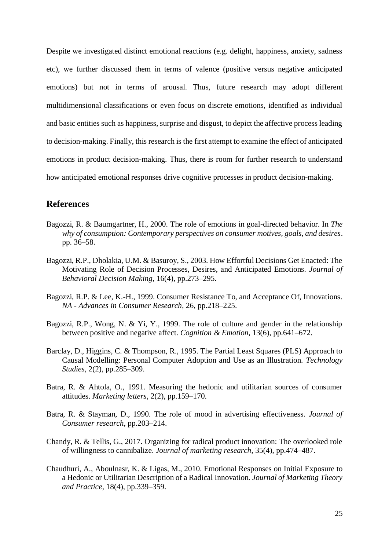Despite we investigated distinct emotional reactions (e.g. delight, happiness, anxiety, sadness etc), we further discussed them in terms of valence (positive versus negative anticipated emotions) but not in terms of arousal. Thus, future research may adopt different multidimensional classifications or even focus on discrete emotions, identified as individual and basic entities such as happiness, surprise and disgust, to depict the affective process leading to decision-making. Finally, this research is the first attempt to examine the effect of anticipated emotions in product decision-making. Thus, there is room for further research to understand how anticipated emotional responses drive cognitive processes in product decision-making.

## **References**

- Bagozzi, R. & Baumgartner, H., 2000. The role of emotions in goal-directed behavior. In *The why of consumption: Contemporary perspectives on consumer motives, goals, and desires*. pp. 36–58.
- Bagozzi, R.P., Dholakia, U.M. & Basuroy, S., 2003. How Effortful Decisions Get Enacted: The Motivating Role of Decision Processes, Desires, and Anticipated Emotions. *Journal of Behavioral Decision Making*, 16(4), pp.273–295.
- Bagozzi, R.P. & Lee, K.-H., 1999. Consumer Resistance To, and Acceptance Of, Innovations. *NA - Advances in Consumer Research*, 26, pp.218–225.
- Bagozzi, R.P., Wong, N. & Yi, Y., 1999. The role of culture and gender in the relationship between positive and negative affect. *Cognition & Emotion*, 13(6), pp.641–672.
- Barclay, D., Higgins, C. & Thompson, R., 1995. The Partial Least Squares (PLS) Approach to Causal Modelling: Personal Computer Adoption and Use as an Illustration. *Technology Studies*, 2(2), pp.285–309.
- Batra, R. & Ahtola, O., 1991. Measuring the hedonic and utilitarian sources of consumer attitudes. *Marketing letters*, 2(2), pp.159–170.
- Batra, R. & Stayman, D., 1990. The role of mood in advertising effectiveness. *Journal of Consumer research*, pp.203–214.
- Chandy, R. & Tellis, G., 2017. Organizing for radical product innovation: The overlooked role of willingness to cannibalize. *Journal of marketing research*, 35(4), pp.474–487.
- Chaudhuri, A., Aboulnasr, K. & Ligas, M., 2010. Emotional Responses on Initial Exposure to a Hedonic or Utilitarian Description of a Radical Innovation. *Journal of Marketing Theory and Practice*, 18(4), pp.339–359.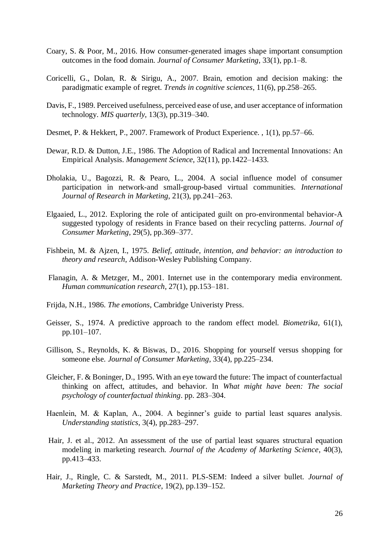- Coary, S. & Poor, M., 2016. How consumer-generated images shape important consumption outcomes in the food domain. *Journal of Consumer Marketing*, 33(1), pp.1–8.
- Coricelli, G., Dolan, R. & Sirigu, A., 2007. Brain, emotion and decision making: the paradigmatic example of regret. *Trends in cognitive sciences*, 11(6), pp.258–265.
- Davis, F., 1989. Perceived usefulness, perceived ease of use, and user acceptance of information technology. *MIS quarterly*, 13(3), pp.319–340.
- Desmet, P. & Hekkert, P., 2007. Framework of Product Experience. , 1(1), pp.57–66.
- Dewar, R.D. & Dutton, J.E., 1986. The Adoption of Radical and Incremental Innovations: An Empirical Analysis. *Management Science*, 32(11), pp.1422–1433.
- Dholakia, U., Bagozzi, R. & Pearo, L., 2004. A social influence model of consumer participation in network-and small-group-based virtual communities. *International Journal of Research in Marketing*, 21(3), pp.241–263.
- Elgaaied, L., 2012. Exploring the role of anticipated guilt on pro-environmental behavior-A suggested typology of residents in France based on their recycling patterns. *Journal of Consumer Marketing*, 29(5), pp.369–377.
- Fishbein, M. & Ajzen, I., 1975. *Belief, attitude, intention, and behavior: an introduction to theory and research*, Addison-Wesley Publishing Company.
- Flanagin, A. & Metzger, M., 2001. Internet use in the contemporary media environment. *Human communication research*, 27(1), pp.153–181.
- Frijda, N.H., 1986. *The emotions*, Cambridge Univeristy Press.
- Geisser, S., 1974. A predictive approach to the random effect model. *Biometrika*, 61(1), pp.101–107.
- Gillison, S., Reynolds, K. & Biswas, D., 2016. Shopping for yourself versus shopping for someone else. *Journal of Consumer Marketing*, 33(4), pp.225–234.
- Gleicher, F. & Boninger, D., 1995. With an eye toward the future: The impact of counterfactual thinking on affect, attitudes, and behavior. In *What might have been: The social psychology of counterfactual thinking*. pp. 283–304.
- Haenlein, M. & Kaplan, A., 2004. A beginner's guide to partial least squares analysis. *Understanding statistics*, 3(4), pp.283–297.
- Hair, J. et al., 2012. An assessment of the use of partial least squares structural equation modeling in marketing research. *Journal of the Academy of Marketing Science*, 40(3), pp.413–433.
- Hair, J., Ringle, C. & Sarstedt, M., 2011. PLS-SEM: Indeed a silver bullet. *Journal of Marketing Theory and Practice*, 19(2), pp.139–152.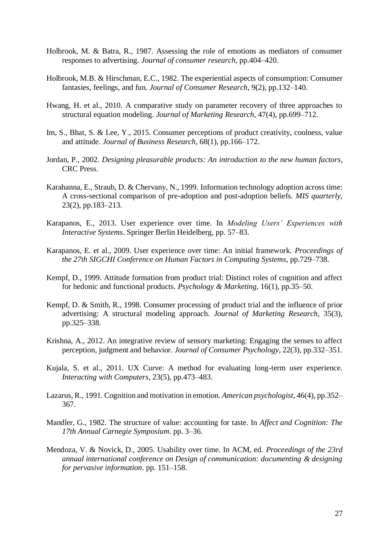- Holbrook, M. & Batra, R., 1987. Assessing the role of emotions as mediators of consumer responses to advertising. *Journal of consumer research*, pp.404–420.
- Holbrook, M.B. & Hirschman, E.C., 1982. The experiential aspects of consumption: Consumer fantasies, feelings, and fun. *Journal of Consumer Research*, 9(2), pp.132–140.
- Hwang, H. et al., 2010. A comparative study on parameter recovery of three approaches to structural equation modeling. *Journal of Marketing Research*, 47(4), pp.699–712.
- Im, S., Bhat, S. & Lee, Y., 2015. Consumer perceptions of product creativity, coolness, value and attitude. *Journal of Business Research*, 68(1), pp.166–172.
- Jordan, P., 2002. *Designing pleasurable products: An introduction to the new human factors*, CRC Press.
- Karahanna, E., Straub, D. & Chervany, N., 1999. Information technology adoption across time: A cross-sectional comparison of pre-adoption and post-adoption beliefs. *MIS quarterly*, 23(2), pp.183–213.
- Karapanos, E., 2013. User experience over time. In *Modeling Users' Experiences with Interactive Systems*. Springer Berlin Heidelberg, pp. 57–83.
- Karapanos, E. et al., 2009. User experience over time: An initial framework. *Proceedings of the 27th SIGCHI Conference on Human Factors in Computing Systems*, pp.729–738.
- Kempf, D., 1999. Attitude formation from product trial: Distinct roles of cognition and affect for hedonic and functional products. *Psychology & Marketing*, 16(1), pp.35–50.
- Kempf, D. & Smith, R., 1998. Consumer processing of product trial and the influence of prior advertising: A structural modeling approach. *Journal of Marketing Research*, 35(3), pp.325–338.
- Krishna, A., 2012. An integrative review of sensory marketing: Engaging the senses to affect perception, judgment and behavior. *Journal of Consumer Psychology*, 22(3), pp.332–351.
- Kujala, S. et al., 2011. UX Curve: A method for evaluating long-term user experience. *Interacting with Computers*, 23(5), pp.473–483.
- Lazarus, R., 1991. Cognition and motivation in emotion. *American psychologist*, 46(4), pp.352– 367.
- Mandler, G., 1982. The structure of value: accounting for taste. In *Affect and Cognition: The 17th Annual Carnegie Symposium*. pp. 3–36.
- Mendoza, V. & Novick, D., 2005. Usability over time. In ACM, ed. *Proceedings of the 23rd annual international conference on Design of communication: documenting & designing for pervasive information*. pp. 151–158.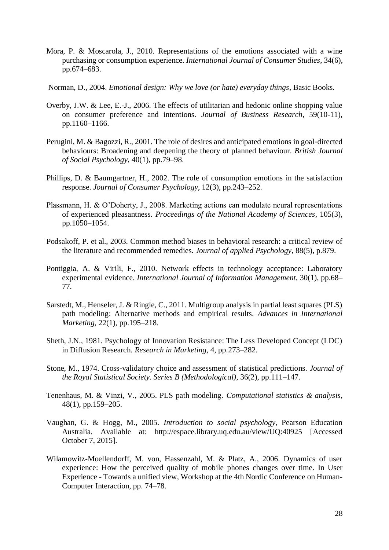- Mora, P. & Moscarola, J., 2010. Representations of the emotions associated with a wine purchasing or consumption experience. *International Journal of Consumer Studies*, 34(6), pp.674–683.
- Norman, D., 2004. *Emotional design: Why we love (or hate) everyday things*, Basic Books.
- Overby, J.W. & Lee, E.-J., 2006. The effects of utilitarian and hedonic online shopping value on consumer preference and intentions. *Journal of Business Research*, 59(10-11), pp.1160–1166.
- Perugini, M. & Bagozzi, R., 2001. The role of desires and anticipated emotions in goal‐directed behaviours: Broadening and deepening the theory of planned behaviour. *British Journal of Social Psychology*, 40(1), pp.79–98.
- Phillips, D. & Baumgartner, H., 2002. The role of consumption emotions in the satisfaction response. *Journal of Consumer Psychology*, 12(3), pp.243–252.
- Plassmann, H. & O'Doherty, J., 2008. Marketing actions can modulate neural representations of experienced pleasantness. *Proceedings of the National Academy of Sciences*, 105(3), pp.1050–1054.
- Podsakoff, P. et al., 2003. Common method biases in behavioral research: a critical review of the literature and recommended remedies. *Journal of applied Psychology*, 88(5), p.879.
- Pontiggia, A. & Virili, F., 2010. Network effects in technology acceptance: Laboratory experimental evidence. *International Journal of Information Management*, 30(1), pp.68– 77.
- Sarstedt, M., Henseler, J. & Ringle, C., 2011. Multigroup analysis in partial least squares (PLS) path modeling: Alternative methods and empirical results. *Advances in International Marketing*, 22(1), pp.195–218.
- Sheth, J.N., 1981. Psychology of Innovation Resistance: The Less Developed Concept (LDC) in Diffusion Research. *Research in Marketing*, 4, pp.273–282.
- Stone, M., 1974. Cross-validatory choice and assessment of statistical predictions. *Journal of the Royal Statistical Society. Series B (Methodological)*, 36(2), pp.111–147.
- Tenenhaus, M. & Vinzi, V., 2005. PLS path modeling. *Computational statistics & analysis*, 48(1), pp.159–205.
- Vaughan, G. & Hogg, M., 2005. *Introduction to social psychology*, Pearson Education Australia. Available at: http://espace.library.uq.edu.au/view/UQ:40925 [Accessed October 7, 2015].
- Wilamowitz-Moellendorff, M. von, Hassenzahl, M. & Platz, A., 2006. Dynamics of user experience: How the perceived quality of mobile phones changes over time. In User Experience - Towards a unified view, Workshop at the 4th Nordic Conference on Human-Computer Interaction, pp. 74–78.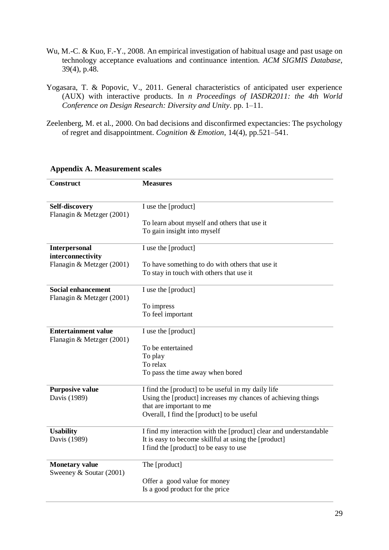- Wu, M.-C. & Kuo, F.-Y., 2008. An empirical investigation of habitual usage and past usage on technology acceptance evaluations and continuance intention. *ACM SIGMIS Database*, 39(4), p.48.
- Yogasara, T. & Popovic, V., 2011. General characteristics of anticipated user experience (AUX) with interactive products. In *n Proceedings of IASDR2011: the 4th World Conference on Design Research: Diversity and Unity*. pp. 1–11.
- Zeelenberg, M. et al., 2000. On bad decisions and disconfirmed expectancies: The psychology of regret and disappointment. *Cognition & Emotion*, 14(4), pp.521–541.

| Construct                                              | <b>Measures</b>                                                   |
|--------------------------------------------------------|-------------------------------------------------------------------|
|                                                        |                                                                   |
| Self-discovery<br>Flanagin & Metzger (2001)            | I use the [product]                                               |
|                                                        | To learn about myself and others that use it                      |
|                                                        | To gain insight into myself                                       |
| Interpersonal<br>interconnectivity                     | I use the [product]                                               |
| Flanagin & Metzger (2001)                              | To have something to do with others that use it                   |
|                                                        | To stay in touch with others that use it                          |
| <b>Social enhancement</b><br>Flanagin & Metzger (2001) | I use the [product]                                               |
|                                                        | To impress                                                        |
|                                                        | To feel important                                                 |
| <b>Entertainment value</b>                             | I use the [product]                                               |
| Flanagin & Metzger (2001)                              |                                                                   |
|                                                        | To be entertained<br>To play                                      |
|                                                        | To relax                                                          |
|                                                        | To pass the time away when bored                                  |
| <b>Purposive value</b>                                 | I find the [product] to be useful in my daily life                |
| Davis (1989)                                           | Using the [product] increases my chances of achieving things      |
|                                                        | that are important to me                                          |
|                                                        | Overall, I find the [product] to be useful                        |
| <b>Usability</b>                                       | I find my interaction with the [product] clear and understandable |
| Davis (1989)                                           | It is easy to become skillful at using the [product]              |
|                                                        | I find the [product] to be easy to use                            |
| <b>Monetary value</b><br>Sweeney & Soutar (2001)       | The [product]                                                     |
|                                                        | Offer a good value for money                                      |
|                                                        | Is a good product for the price                                   |

## **Appendix A. Measurement scales**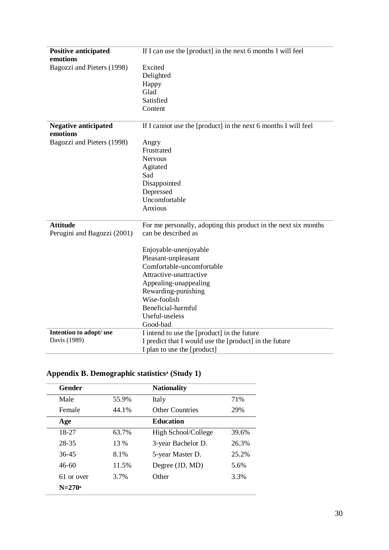| <b>Positive anticipated</b>             | If I can use the [product] in the next 6 months I will feel     |
|-----------------------------------------|-----------------------------------------------------------------|
| emotions                                |                                                                 |
| Bagozzi and Pieters (1998)              | Excited                                                         |
|                                         | Delighted                                                       |
|                                         | Happy                                                           |
|                                         | Glad                                                            |
|                                         | Satisfied                                                       |
|                                         | Content                                                         |
|                                         |                                                                 |
| <b>Negative anticipated</b><br>emotions | If I cannot use the [product] in the next 6 months I will feel  |
| Bagozzi and Pieters (1998)              | Angry                                                           |
|                                         | Frustrated                                                      |
|                                         | <b>Nervous</b>                                                  |
|                                         | Agitated                                                        |
|                                         | Sad                                                             |
|                                         | Disappointed                                                    |
|                                         | Depressed                                                       |
|                                         | Uncomfortable                                                   |
|                                         | Anxious                                                         |
|                                         |                                                                 |
| <b>Attitude</b>                         | For me personally, adopting this product in the next six months |
| Perugini and Bagozzi (2001)             | can be described as                                             |
|                                         |                                                                 |
|                                         | Enjoyable-unenjoyable                                           |
|                                         | Pleasant-unpleasant                                             |
|                                         | Comfortable-uncomfortable                                       |
|                                         | Attractive-unattractive                                         |
|                                         | Appealing-unappealing                                           |
|                                         | Rewarding-punishing                                             |
|                                         | Wise-foolish                                                    |
|                                         | Beneficial-harmful                                              |
|                                         | Useful-useless                                                  |
|                                         | Good-bad                                                        |
| Intention to adopt/ use                 | I intend to use the [product] in the future                     |
| Davis (1989)                            | I predict that I would use the [product] in the future          |
|                                         | I plan to use the [product]                                     |

# **Appendix B. Demographic statisticsᵃ (Study 1)**

| <b>Gender</b> |       | <b>Nationality</b>     |       |
|---------------|-------|------------------------|-------|
| Male          | 55.9% | Italy                  | 71%   |
| Female        | 44.1% | <b>Other Countries</b> | 29%   |
| Age           |       | <b>Education</b>       |       |
| 18-27         | 63.7% | High School/College    | 39.6% |
| 28-35         | 13 %  | 3-year Bachelor D.     | 26.3% |
| $36 - 45$     | 8.1%  | 5-year Master D.       | 25.2% |
| $46-60$       | 11.5% | Degree (JD, MD)        | 5.6%  |
| 61 or over    | 3.7%  | Other                  | 3.3%  |
| $N = 270^a$   |       |                        |       |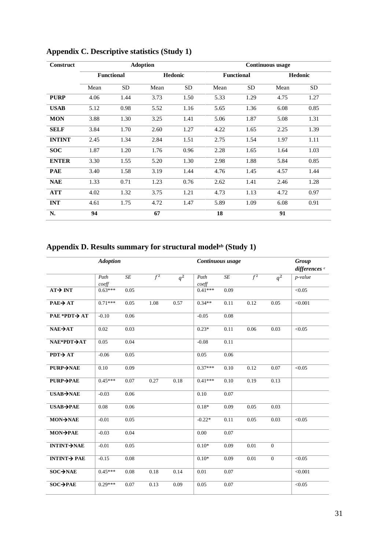| Construct     |                   |      | <b>Adoption</b> |           | <b>Continuous usage</b> |                   |         |           |  |  |
|---------------|-------------------|------|-----------------|-----------|-------------------------|-------------------|---------|-----------|--|--|
|               | <b>Functional</b> |      |                 | Hedonic   |                         | <b>Functional</b> | Hedonic |           |  |  |
|               | Mean              | SD   | Mean            | <b>SD</b> | Mean                    | <b>SD</b>         | Mean    | <b>SD</b> |  |  |
| <b>PURP</b>   | 4.06              | 1.44 | 3.73            | 1.50      | 5.33                    | 1.29              | 4.75    | 1.27      |  |  |
| <b>USAB</b>   | 5.12              | 0.98 | 5.52            | 1.16      | 5.65                    | 1.36              | 6.08    | 0.85      |  |  |
| <b>MON</b>    | 3.88              | 1.30 | 3.25            | 1.41      | 5.06                    | 1.87              | 5.08    | 1.31      |  |  |
| <b>SELF</b>   | 3.84              | 1.70 | 2.60            | 1.27      | 4.22                    | 1.65              | 2.25    | 1.39      |  |  |
| <b>INTINT</b> | 2.45              | 1.34 | 2.84            | 1.51      | 2.75                    | 1.54              | 1.97    | 1.11      |  |  |
| <b>SOC</b>    | 1.87              | 1.20 | 1.76            | 0.96      | 2.28                    | 1.65              | 1.64    | 1.03      |  |  |
| <b>ENTER</b>  | 3.30              | 1.55 | 5.20            | 1.30      | 2.98                    | 1.88              | 5.84    | 0.85      |  |  |
| <b>PAE</b>    | 3.40              | 1.58 | 3.19            | 1.44      | 4.76                    | 1.45              | 4.57    | 1.44      |  |  |
| <b>NAE</b>    | 1.33              | 0.71 | 1.23            | 0.76      | 2.62                    | 1.41              | 2.46    | 1.28      |  |  |
| <b>ATT</b>    | 4.02              | 1.32 | 3.75            | 1.21      | 4.73                    | 1.13              | 4.72    | 0.97      |  |  |
| <b>INT</b>    | 4.61              | 1.75 | 4.72            | 1.47      | 5.89                    | 1.09              | 6.08    | 0.91      |  |  |
| N.            | 94                |      | 67              |           | 18                      |                   | 91      |           |  |  |

## **Appendix C. Descriptive statistics (Study 1)**

## **Appendix D. Results summary for structural modelᵃᵇ (Study 1)**

|                            | <b>Adoption</b> |           |                  |                  | Continuous usage |           |                  |                  | Group<br>differences <sup>c</sup> |
|----------------------------|-----------------|-----------|------------------|------------------|------------------|-----------|------------------|------------------|-----------------------------------|
|                            | Path<br>coeff   | $\cal SE$ | $\overline{f^2}$ | $\overline{q^2}$ | Path<br>coeff    | $\cal SE$ | $\overline{f^2}$ | $\overline{q^2}$ | p-value                           |
| $AT \rightarrow INT$       | $0.63***$       | 0.05      |                  |                  | $0.41***$        | 0.09      |                  |                  | < 0.05                            |
| $PAE \rightarrow AT$       | $0.71***$       | 0.05      | 1.08             | 0.57             | $0.34**$         | 0.11      | 0.12             | 0.05             | < 0.001                           |
| $PAE * PDF \rightarrow AT$ | $-0.10$         | 0.06      |                  |                  | $-0.05$          | 0.08      |                  |                  |                                   |
| $NAE \rightarrow AT$       | 0.02            | 0.03      |                  |                  | $0.23*$          | 0.11      | 0.06             | 0.03             | < 0.05                            |
| NAE*PDT→AT                 | 0.05            | 0.04      |                  |                  | $-0.08$          | 0.11      |                  |                  |                                   |
| $PDT \rightarrow AT$       | $-0.06$         | 0.05      |                  |                  | 0.05             | 0.06      |                  |                  |                                   |
| $PURP \rightarrow NAE$     | 0.10            | 0.09      |                  |                  | $0.37***$        | 0.10      | 0.12             | 0.07             | < 0.05                            |
| PURP→PAE                   | $0.45***$       | 0.07      | 0.27             | 0.18             | $0.41***$        | 0.10      | 0.19             | 0.13             |                                   |
| $USAB \rightarrow NAE$     | $-0.03$         | 0.06      |                  |                  | 0.10             | 0.07      |                  |                  |                                   |
| $USAB \rightarrow PAE$     | 0.08            | 0.06      |                  |                  | $0.18*$          | 0.09      | 0.05             | 0.03             |                                   |
| MON→NAE                    | $-0.01$         | 0.05      |                  |                  | $-0.22*$         | 0.11      | 0.05             | 0.03             | < 0.05                            |
| MON→PAE                    | $-0.03$         | 0.04      |                  |                  | 0.00             | 0.07      |                  |                  |                                   |
| <b>INTINT-&gt;NAE</b>      | $-0.01$         | 0.05      |                  |                  | $0.10*$          | 0.09      | 0.01             | $\overline{0}$   |                                   |
| $INTINT $ PAE              | $-0.15$         | 0.08      |                  |                  | $0.10*$          | 0.09      | 0.01             | $\overline{0}$   | < 0.05                            |
| SOC→NAE                    | $0.45***$       | 0.08      | 0.18             | 0.14             | 0.01             | 0.07      |                  |                  | < 0.001                           |
| SOC→PAE                    | $0.29***$       | 0.07      | 0.13             | 0.09             | 0.05             | 0.07      |                  |                  | < 0.05                            |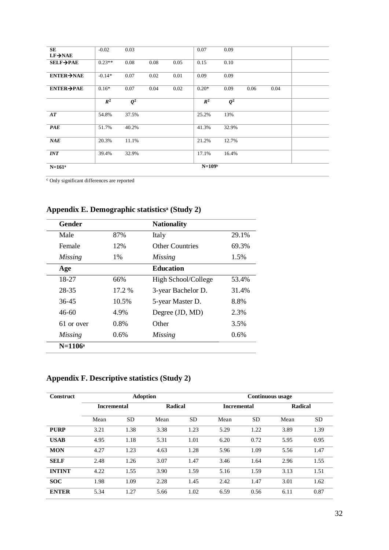| SE                             | $-0.02$  | 0.03             |      |      | 0.07     | 0.09             |      |      |  |
|--------------------------------|----------|------------------|------|------|----------|------------------|------|------|--|
| $LF \rightarrow NAE$           |          |                  |      |      |          |                  |      |      |  |
| $SELF \rightarrow PAE$         | $0.23**$ | 0.08             | 0.08 | 0.05 | 0.15     | 0.10             |      |      |  |
| $ENTER \rightarrow NAE$        | $-0.14*$ | 0.07             | 0.02 | 0.01 | 0.09     | 0.09             |      |      |  |
| $ENTER \rightarrow PAE$        | $0.16*$  | 0.07             | 0.04 | 0.02 | $0.20*$  | 0.09             | 0.06 | 0.04 |  |
|                                | $R^2$    | $\overline{Q^2}$ |      |      | $R^2$    | $\overline{Q^2}$ |      |      |  |
| $\boldsymbol{A}\boldsymbol{T}$ | 54.8%    | 37.5%            |      |      | 25.2%    | 13%              |      |      |  |
| <b>PAE</b>                     | 51.7%    | 40.2%            |      |      | 41.3%    | 32.9%            |      |      |  |
| NAE                            | 20.3%    | 11.1%            |      |      | 21.2%    | 12.7%            |      |      |  |
| INT                            | 39.4%    | 32.9%            |      |      | 17.1%    | 16.4%            |      |      |  |
| $N = 161^a$                    |          |                  |      |      | $N=109b$ |                  |      |      |  |

ᶜ Only significant differences are reported

| <b>Gender</b>  |        | <b>Nationality</b>     |       |
|----------------|--------|------------------------|-------|
| Male           | 87%    | Italy                  | 29.1% |
| Female         | 12%    | <b>Other Countries</b> | 69.3% |
| <i>Missing</i> | $1\%$  | <i>Missing</i>         | 1.5%  |
| Age            |        | <b>Education</b>       |       |
| 18-27          | 66%    | High School/College    | 53.4% |
| 28-35          | 17.2 % | 3-year Bachelor D.     | 31.4% |
| $36 - 45$      | 10.5%  | 5-year Master D.       | 8.8%  |
| 46-60          | 4.9%   | Degree (JD, MD)        | 2.3%  |
| 61 or over     | 0.8%   | Other                  | 3.5%  |
| <i>Missing</i> | 0.6%   | <b>Missing</b>         | 0.6%  |
| $N=1106^a$     |        |                        |       |

## **Appendix E. Demographic statisticsᵃ (Study 2)**

# **Appendix F. Descriptive statistics (Study 2)**

| Construct     |                    | <b>Adoption</b> |         |           | <b>Continuous</b> usage |           |         |      |  |  |
|---------------|--------------------|-----------------|---------|-----------|-------------------------|-----------|---------|------|--|--|
|               | <b>Incremental</b> |                 | Radical |           | <b>Incremental</b>      |           | Radical |      |  |  |
|               | Mean               | <b>SD</b>       | Mean    | <b>SD</b> | Mean                    | <b>SD</b> | Mean    | SD.  |  |  |
| <b>PURP</b>   | 3.21               | 1.38            | 3.38    | 1.23      | 5.29                    | 1.22      | 3.89    | 1.39 |  |  |
| <b>USAB</b>   | 4.95               | 1.18            | 5.31    | 1.01      | 6.20                    | 0.72      | 5.95    | 0.95 |  |  |
| <b>MON</b>    | 4.27               | 1.23            | 4.63    | 1.28      | 5.96                    | 1.09      | 5.56    | 1.47 |  |  |
| <b>SELF</b>   | 2.48               | 1.26            | 3.07    | 1.47      | 3.46                    | 1.64      | 2.96    | 1.55 |  |  |
| <b>INTINT</b> | 4.22               | 1.55            | 3.90    | 1.59      | 5.16                    | 1.59      | 3.13    | 1.51 |  |  |
| <b>SOC</b>    | 1.98               | 1.09            | 2.28    | 1.45      | 2.42                    | 1.47      | 3.01    | 1.62 |  |  |
| <b>ENTER</b>  | 5.34               | 1.27            | 5.66    | 1.02      | 6.59                    | 0.56      | 6.11    | 0.87 |  |  |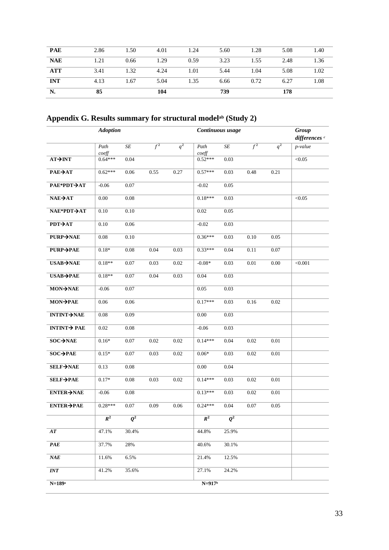| N.         | 85   |      | 104  |      | 739  |      | 178  |      |
|------------|------|------|------|------|------|------|------|------|
| <b>INT</b> | 4.13 | 1.67 | 5.04 | 1.35 | 6.66 | 0.72 | 6.27 | 1.08 |
| <b>ATT</b> | 3.41 | 1.32 | 4.24 | 1.01 | 5.44 | 1.04 | 5.08 | 1.02 |
| <b>NAE</b> | 1.21 | 0.66 | 1.29 | 0.59 | 3.23 | 1.55 | 2.48 | 1.36 |
| <b>PAE</b> | 2.86 | 1.50 | 4.01 | 1.24 | 5.60 | 1.28 | 5.08 | 1.40 |

**Appendix G. Results summary for structural modelᵃᵇ (Study 2)**

|                                    | <b>Adoption</b>    |                      |                  |          |                    | Continuous usage |                  |          | Group<br>differences <sup>c</sup> |
|------------------------------------|--------------------|----------------------|------------------|----------|--------------------|------------------|------------------|----------|-----------------------------------|
|                                    | Path               | $S\hspace{-0.08em}E$ | $\overline{f^2}$ | $q^2$    | Path               | SE               | $\overline{f^2}$ | $q^2$    | p-value                           |
| $AT\rightarrow INT$                | coeff<br>$0.64***$ | 0.04                 |                  |          | coeff<br>$0.52***$ | 0.03             |                  |          | < 0.05                            |
| $PAE \rightarrow AT$               | $0.62***$          | $0.06\,$             | 0.55             | 0.27     | $0.57***$          | 0.03             | 0.48             | 0.21     |                                   |
| РАЕ*РDТ→АТ                         | $-0.06$            | 0.07                 |                  |          | $-0.02$            | 0.05             |                  |          |                                   |
| $NAE \rightarrow AT$               | $0.00\,$           | $0.08\,$             |                  |          | $0.18***$          | 0.03             |                  |          | < 0.05                            |
| NAE*PDT→AT                         | $0.10\,$           | $0.10\,$             |                  |          | $0.02\,$           | 0.05             |                  |          |                                   |
| РОТ→АТ                             | 0.10               | 0.06                 |                  |          | $-0.02$            | 0.03             |                  |          |                                   |
| <b>PURP→NAE</b>                    | 0.08               | $0.10\,$             |                  |          | $0.36***$          | 0.03             | $0.10\,$         | 0.05     |                                   |
| PURP→PAE                           | $0.18*$            | $0.08\,$             | 0.04             | 0.03     | $0.33***$          | 0.04             | 0.11             | $0.07\,$ |                                   |
| $USAB \rightarrow NAE$             | $0.18**$           | 0.07                 | 0.03             | 0.02     | $-0.08*$           | 0.03             | $0.01\,$         | 0.00     | < 0.001                           |
| $USAB \rightarrow PAE$             | $0.18**$           | $0.07\,$             | 0.04             | 0.03     | 0.04               | 0.03             |                  |          |                                   |
| MON→NAE                            | $-0.06$            | 0.07                 |                  |          | 0.05               | 0.03             |                  |          |                                   |
| MON→PAE                            | 0.06               | 0.06                 |                  |          | $0.17***$          | 0.03             | 0.16             | 0.02     |                                   |
| <b>INTINT-&gt;NAE</b>              | $0.08\,$           | 0.09                 |                  |          | $0.00\,$           | 0.03             |                  |          |                                   |
| INTINT $\rightarrow$ PAE           | $0.02\,$           | $0.08\,$             |                  |          | $-0.06$            | 0.03             |                  |          |                                   |
| SOC→NAE                            | $0.16*$            | 0.07                 | 0.02             | 0.02     | $0.14***$          | 0.04             | 0.02             | 0.01     |                                   |
| $SOC\rightarrow PAE$               | $0.15*$            | 0.07                 | 0.03             | $0.02\,$ | $0.06*$            | 0.03             | $0.02\,$         | $0.01\,$ |                                   |
| SELF→NAE                           | 0.13               | $0.08\,$             |                  |          | $0.00\,$           | 0.04             |                  |          |                                   |
| SELF→PAE                           | $0.17*$            | $0.08\,$             | 0.03             | 0.02     | $0.14***$          | 0.03             | 0.02             | 0.01     |                                   |
| <b>ENTER-&gt;NAE</b>               | $-0.06$            | $0.08\,$             |                  |          | $0.13***$          | 0.03             | 0.02             | $0.01\,$ |                                   |
| ENTER→PAE                          | $0.28***$          | $0.07\,$             | 0.09             | $0.06\,$ | $0.24***$          | 0.04             | $0.07\,$         | 0.05     |                                   |
|                                    | $R^2$              | $\overline{Q^2}$     |                  |          | $R^2$              | $\overline{Q^2}$ |                  |          |                                   |
| AT                                 | 47.1%              | 30.4%                |                  |          | 44.8%              | 25.9%            |                  |          |                                   |
| PAE                                | 37.7%              | 28%                  |                  |          | 40.6%              | 30.1%            |                  |          |                                   |
| $\pmb{N\!AE}$                      | 11.6%              | 6.5%                 |                  |          | 21.4%              | 12.5%            |                  |          |                                   |
| $\ensuremath{\textit{INT}}\xspace$ | 41.2%              | 35.6%                |                  |          | 27.1%              | 24.2%            |                  |          |                                   |
| $N = 189$ <sup>a</sup>             |                    |                      |                  |          | $N=917b$           |                  |                  |          |                                   |